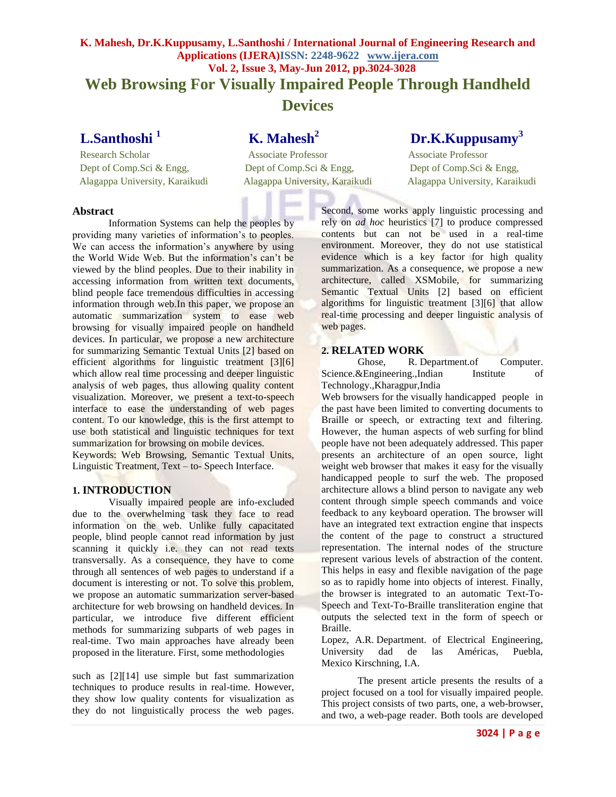## **K. Mahesh, Dr.K.Kuppusamy, L.Santhoshi / International Journal of Engineering Research and Applications (IJERA)ISSN: 2248-9622 www.ijera.com Vol. 2, Issue 3, May-Jun 2012, pp.3024-3028 Web Browsing For Visually Impaired People Through Handheld Devices**

# **L.Santhoshi <sup>1</sup>**

 **K. Mahesh<sup>2</sup>**

 Research Scholar Associate Professor Associate Professor Dept of Comp.Sci & Engg, Dept of Comp.Sci & Engg, Dept of Comp.Sci & Engg, Alagappa University, Karaikudi Alagappa University, Karaikudi Alagappa University, Karaikudi

# **Dr.K.Kuppusamy**<sup>3</sup>

#### **Abstract**

Information Systems can help the peoples by providing many varieties of information's to peoples. We can access the information's anywhere by using the World Wide Web. But the information's can't be viewed by the blind peoples. Due to their inability in accessing information from written text documents, blind people face tremendous difficulties in accessing information through web.In this paper, we propose an automatic summarization system to ease web browsing for visually impaired people on handheld devices. In particular, we propose a new architecture for summarizing Semantic Textual Units [2] based on efficient algorithms for linguistic treatment [3][6] which allow real time processing and deeper linguistic analysis of web pages, thus allowing quality content visualization. Moreover, we present a text-to-speech interface to ease the understanding of web pages content. To our knowledge, this is the first attempt to use both statistical and linguistic techniques for text summarization for browsing on mobile devices.

Keywords: Web Browsing, Semantic Textual Units, Linguistic Treatment, Text – to- Speech Interface.

## **1. INTRODUCTION**

Visually impaired people are info-excluded due to the overwhelming task they face to read information on the web. Unlike fully capacitated people, blind people cannot read information by just scanning it quickly i.e. they can not read texts transversally. As a consequence, they have to come through all sentences of web pages to understand if a document is interesting or not. To solve this problem, we propose an automatic summarization server-based architecture for web browsing on handheld devices. In particular, we introduce five different efficient methods for summarizing subparts of web pages in real-time. Two main approaches have already been proposed in the literature. First, some methodologies

such as [2][14] use simple but fast summarization techniques to produce results in real-time. However, they show low quality contents for visualization as they do not linguistically process the web pages.

Second, some works apply linguistic processing and rely on *ad hoc* heuristics [7] to produce compressed contents but can not be used in a real-time environment. Moreover, they do not use statistical evidence which is a key factor for high quality summarization. As a consequence, we propose a new architecture, called XSMobile, for summarizing Semantic Textual Units [2] based on efficient algorithms for linguistic treatment [3][6] that allow real-time processing and deeper linguistic analysis of web pages.

#### **2. RELATED WORK**

Ghose, R. Department.of Computer. Science.&Engineering.,Indian Institute of Technology.,Kharagpur,India

Web browsers for the visually handicapped people in the past have been limited to converting documents to Braille or speech, or extracting text and filtering. However, the human aspects of web surfing for blind people have not been adequately addressed. This paper presents an architecture of an open source, light weight web browser that makes it easy for the visually handicapped people to surf the web. The proposed architecture allows a blind person to navigate any web content through simple speech commands and voice feedback to any keyboard operation. The browser will have an integrated text extraction engine that inspects the content of the page to construct a structured representation. The internal nodes of the structure represent various levels of abstraction of the content. This helps in easy and flexible navigation of the page so as to rapidly home into objects of interest. Finally, the browser is integrated to an automatic Text-To-Speech and Text-To-Braille transliteration engine that outputs the selected text in the form of speech or Braille.

Lopez, A.R. Department. of Electrical Engineering, University dad de las Américas, Puebla, Mexico Kirschning, I.A.

The present article presents the results of a project focused on a tool for visually impaired people. This project consists of two parts, one, a web-browser, and two, a web-page reader. Both tools are developed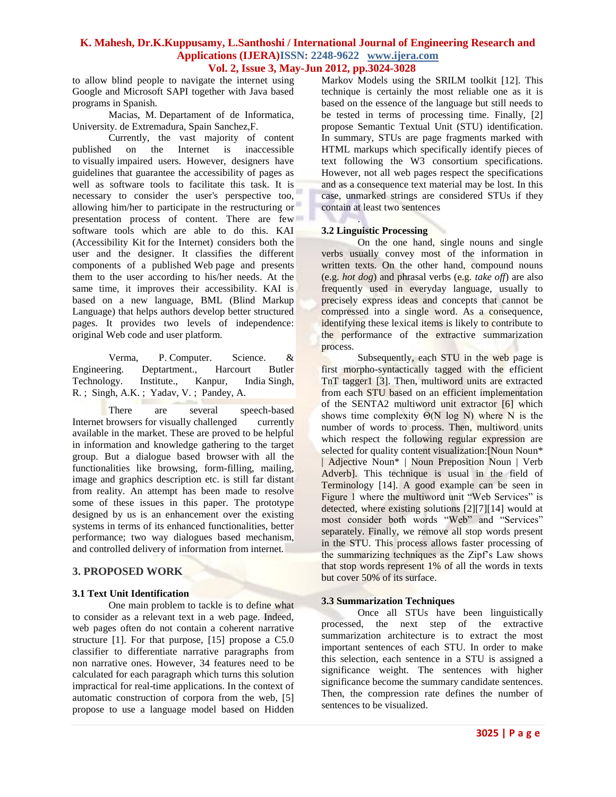to allow blind people to navigate the internet using Google and Microsoft SAPI together with Java based programs in Spanish.

Macias, M. Departament of de Informatica, University. de Extremadura, Spain Sanchez,F.

Currently, the vast majority of content published on the Internet is inaccessible to visually impaired users. However, designers have guidelines that guarantee the accessibility of pages as well as software tools to facilitate this task. It is necessary to consider the user's perspective too, allowing him/her to participate in the restructuring or presentation process of content. There are few software tools which are able to do this. KAI (Accessibility Kit for the Internet) considers both the user and the designer. It classifies the different components of a published Web page and presents them to the user according to his/her needs. At the same time, it improves their accessibility. KAI is based on a new language, BML (Blind Markup Language) that helps authors develop better structured pages. It provides two levels of independence: original Web code and user platform.

Verma, P. Computer. Science. & Engineering. Deptartment., Harcourt Butler Technology. Institute., Kanpur, India Singh, R. ; Singh, A.K. ; Yadav, V. ; Pandey, A.

There are several speech-based Internet browsers for visually challenged currently available in the market. These are proved to be helpful in information and knowledge gathering to the target group. But a dialogue based browser with all the functionalities like browsing, form-filling, mailing, image and graphics description etc. is still far distant from reality. An attempt has been made to resolve some of these issues in this paper. The prototype designed by us is an enhancement over the existing systems in terms of its enhanced functionalities, better performance; two way dialogues based mechanism, and controlled delivery of information from internet.

#### **3. PROPOSED WORK**

#### **3.1 Text Unit Identification**

One main problem to tackle is to define what to consider as a relevant text in a web page. Indeed, web pages often do not contain a coherent narrative structure [1]. For that purpose, [15] propose a C5.0 classifier to differentiate narrative paragraphs from non narrative ones. However, 34 features need to be calculated for each paragraph which turns this solution impractical for real-time applications. In the context of automatic construction of corpora from the web, [5] propose to use a language model based on Hidden

Markov Models using the SRILM toolkit [12]. This technique is certainly the most reliable one as it is based on the essence of the language but still needs to be tested in terms of processing time. Finally, [2] propose Semantic Textual Unit (STU) identification. In summary, STUs are page fragments marked with HTML markups which specifically identify pieces of text following the W3 consortium specifications. However, not all web pages respect the specifications and as a consequence text material may be lost. In this case, unmarked strings are considered STUs if they contain at least two sentences

#### . **3.2 Linguistic Processing**

On the one hand, single nouns and single verbs usually convey most of the information in written texts. On the other hand, compound nouns (e.g. *hot dog*) and phrasal verbs (e.g. *take off*) are also frequently used in everyday language, usually to precisely express ideas and concepts that cannot be compressed into a single word. As a consequence, identifying these lexical items is likely to contribute to the performance of the extractive summarization process.

Subsequently, each STU in the web page is first morpho-syntactically tagged with the efficient TnT tagger1 [3]. Then, multiword units are extracted from each STU based on an efficient implementation of the SENTA2 multiword unit extractor [6] which shows time complexity  $\Theta(N \log N)$  where N is the number of words to process. Then, multiword units which respect the following regular expression are selected for quality content visualization:[Noun Noun\* | Adjective Noun\* | Noun Preposition Noun | Verb Adverb]. This technique is usual in the field of Terminology [14]. A good example can be seen in Figure 1 where the multiword unit "Web Services" is detected, where existing solutions [2][7][14] would at most consider both words "Web" and "Services" separately. Finally, we remove all stop words present in the STU. This process allows faster processing of the summarizing techniques as the Zipf's Law shows that stop words represent 1% of all the words in texts but cover 50% of its surface.

#### **3.3 Summarization Techniques**

Once all STUs have been linguistically processed, the next step of the extractive summarization architecture is to extract the most important sentences of each STU. In order to make this selection, each sentence in a STU is assigned a significance weight. The sentences with higher significance become the summary candidate sentences. Then, the compression rate defines the number of sentences to be visualized.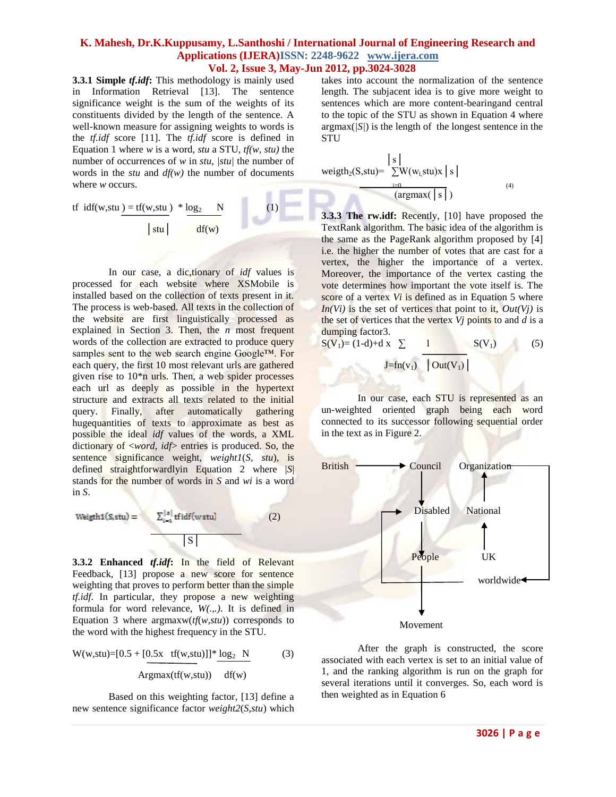**3.3.1 Simple** *tf.idf***:** This methodology is mainly used in Information Retrieval [13]. The sentence significance weight is the sum of the weights of its constituents divided by the length of the sentence. A well-known measure for assigning weights to words is the *tf.idf* score [11]. The *tf.idf* score is defined in Equation 1 where *w* is a word, *stu* a STU, *tf(w, stu)* the number of occurrences of *w* in *stu*, *|stu|* the number of words in the *stu* and *df(w)* the number of documents where *w* occurs.

tf idf(w,stu) = tf(w,stu)  $*$  log<sub>2</sub> N

 $|\sin|$  df(w)

In our case, a dic,tionary of *idf* values is processed for each website where XSMobile is installed based on the collection of texts present in it. The process is web-based. All texts in the collection of the website are first linguistically processed as explained in Section 3. Then, the *n* most frequent words of the collection are extracted to produce query samples sent to the web search engine Google™. For each query, the first 10 most relevant urls are gathered given rise to 10\*n urls. Then, a web spider processes each url as deeply as possible in the hypertext structure and extracts all texts related to the initial query. Finally, after automatically gathering hugequantities of texts to approximate as best as possible the ideal *idf* values of the words, a XML dictionary of <*word, idf*> entries is produced. So, the sentence significance weight, *weight1*(*S, stu*), is defined straightforwardlyin Equation 2 where |*S*| stands for the number of words in *S* and *wi* is a word in *S*.

 $\sum_{i=1}^{|s|}$  tf idf(w stu) (2)  $Weight1(S, stu) =$  $|S|$ 

**3.3.2 Enhanced** *tf.idf***:** In the field of Relevant Feedback, [13] propose a new score for sentence weighting that proves to perform better than the simple *tf.idf*. In particular, they propose a new weighting formula for word relevance, *W(.,.)*. It is defined in Equation 3 where argmaxw(*tf*(*w,stu*)) corresponds to the word with the highest frequency in the STU.

$$
W(w, stu) = [0.5 + [0.5x \text{ tf}(w, stu)]]^* \frac{\log_2 N}{\log_2 N}
$$
 (3)  
Argmax(tf(w, stu)) df(w)

Based on this weighting factor, [13] define a new sentence significance factor *weight2*(*S,stu*) which takes into account the normalization of the sentence length. The subjacent idea is to give more weight to sentences which are more content-bearingand central to the topic of the STU as shown in Equation 4 where argmax(*|S|*) is the length of the longest sentence in the **STU** 

$$
\begin{array}{c}\n\text{weight}_{2}(S, \text{stu}) = \sum_{i=0}^{S} W(w_{i}, \text{stu})x \mid s \\
\hline\n\text{(argmax(} | s | \text{ )}\n\end{array} \tag{4}
$$

**3.3.3 The rw.idf:** Recently, [10] have proposed the TextRank algorithm. The basic idea of the algorithm is the same as the PageRank algorithm proposed by [4] i.e. the higher the number of votes that are cast for a vertex, the higher the importance of a vertex. Moreover, the importance of the vertex casting the vote determines how important the vote itself is. The score of a vertex *Vi* is defined as in Equation 5 where *In(Vi)* is the set of vertices that point to it, *Out(Vj)* is the set of vertices that the vertex *Vj* points to and *d* is a dumping factor3.

$$
S(V1) = (1-d)+d x \sum \frac{1}{|Out(V1)|} S(V1)
$$
 (5)

In our case, each STU is represented as an un-weighted oriented graph being each word connected to its successor following sequential order in the text as in Figure 2.



After the graph is constructed, the score associated with each vertex is set to an initial value of 1, and the ranking algorithm is run on the graph for several iterations until it converges. So, each word is then weighted as in Equation 6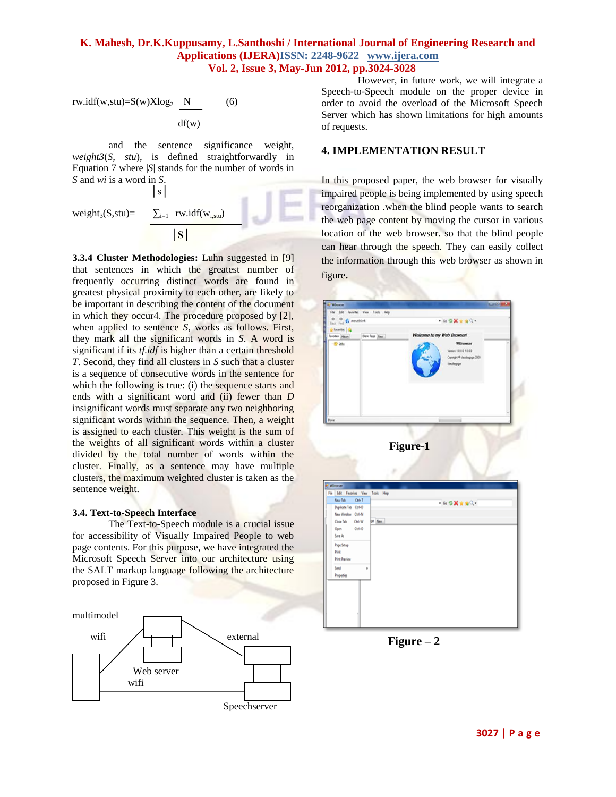rw.idf(w,stu)= $S(w)Xlog_2$  N (6)

│s│

df(w)

and the sentence significance weight, *weight3*(*S, stu*), is defined straightforwardly in Equation 7 where |*S*| stands for the number of words in *S* and *wi* is a word in *S*.

weight<sub>3</sub>(S,stu)=  $\sum_{i=1}$  rw.idf(w<sub>i.stu</sub>)

 $|S|$ 

**3.3.4 Cluster Methodologies:** Luhn suggested in [9] that sentences in which the greatest number of frequently occurring distinct words are found in greatest physical proximity to each other, are likely to be important in describing the content of the document in which they occur4. The procedure proposed by [2], when applied to sentence *S*, works as follows. First, they mark all the significant words in *S*. A word is significant if its *tf.idf* is higher than a certain threshold *T*. Second, they find all clusters in *S* such that a cluster is a sequence of consecutive words in the sentence for which the following is true: (i) the sequence starts and ends with a significant word and (ii) fewer than *D*  insignificant words must separate any two neighboring significant words within the sequence. Then, a weight is assigned to each cluster. This weight is the sum of the weights of all significant words within a cluster divided by the total number of words within the cluster. Finally, as a sentence may have multiple clusters, the maximum weighted cluster is taken as the sentence weight.

#### **3.4. Text-to-Speech Interface**

The Text-to-Speech module is a crucial issue for accessibility of Visually Impaired People to web page contents. For this purpose, we have integrated the Microsoft Speech Server into our architecture using the SALT markup language following the architecture proposed in Figure 3.



However, in future work, we will integrate a Speech-to-Speech module on the proper device in order to avoid the overload of the Microsoft Speech Server which has shown limitations for high amounts of requests.

#### **4. IMPLEMENTATION RESULT**

In this proposed paper, the web browser for visually impaired people is being implemented by using speech reorganization .when the blind people wants to search the web page content by moving the cursor in various location of the web browser. so that the blind people can hear through the speech. They can easily collect the information through this web browser as shown in figure.



| <sup>2</sup> Whowser                                  |         |
|-------------------------------------------------------|---------|
| File Edit Favorites View Tools Help<br>New Tab Ctrl+T | 65其古当() |
| Duplicate Tab Ctrl+D<br>New Window Ctrl+N             |         |
| Ctrl+W<br>Close Tab<br>Open Ctrl=O<br>Save As         | Of New  |
| Page Setup<br>Print<br><b>Print Preview</b>           |         |
| Send<br>٠<br>Properties                               |         |
|                                                       |         |

 $Figure - 2$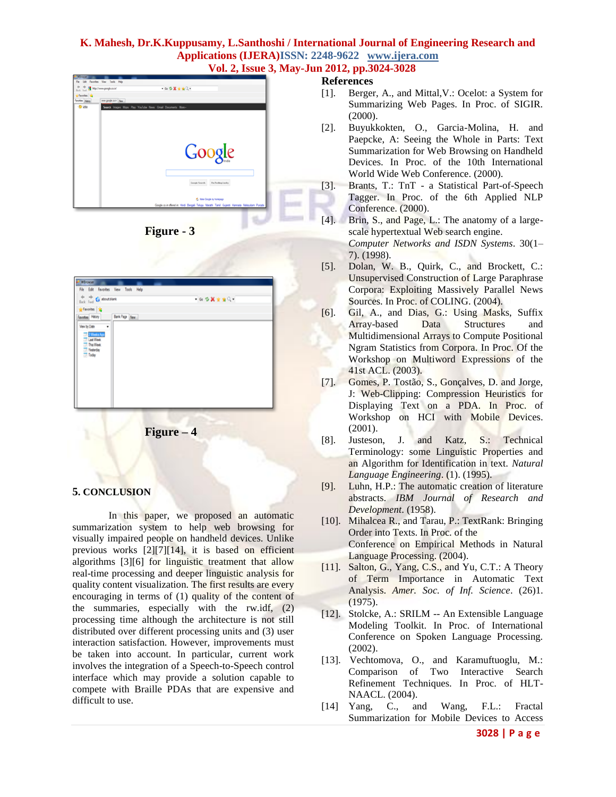



| - Whomas                                |                 |  |
|-----------------------------------------|-----------------|--|
| File Edit Favorites View Tools Help     |                 |  |
| $\frac{4\pi}{\log k}$ Fig. C about Mark | · G G X ★ ★ Q · |  |
| <b>x</b> Favorites <b>x</b>             |                 |  |
| Favories Helpy<br>Bank Page New         |                 |  |
| View by Date<br>$\cdot$                 |                 |  |
| 2 Tinoka Ago<br><b>T.</b> Last Week     |                 |  |
| The Week                                |                 |  |
| Yesterday<br>Taday                      |                 |  |
|                                         |                 |  |
|                                         |                 |  |
|                                         |                 |  |
|                                         |                 |  |
|                                         |                 |  |
|                                         |                 |  |



## **5. CONCLUSION**

In this paper, we proposed an automatic summarization system to help web browsing for visually impaired people on handheld devices. Unlike previous works [2][7][14], it is based on efficient algorithms [3][6] for linguistic treatment that allow real-time processing and deeper linguistic analysis for quality content visualization. The first results are every encouraging in terms of (1) quality of the content of the summaries, especially with the rw.idf, (2) processing time although the architecture is not still distributed over different processing units and (3) user interaction satisfaction. However, improvements must be taken into account. In particular, current work involves the integration of a Speech-to-Speech control interface which may provide a solution capable to compete with Braille PDAs that are expensive and difficult to use.

#### **References**

- [1]. Berger, A., and Mittal,V.: Ocelot: a System for Summarizing Web Pages. In Proc. of SIGIR. (2000).
- [2]. Buyukkokten, O., Garcia-Molina, H. and Paepcke, A: Seeing the Whole in Parts: Text Summarization for Web Browsing on Handheld Devices. In Proc. of the 10th International World Wide Web Conference. (2000).
- [3]. Brants, T.: TnT a Statistical Part-of-Speech Tagger. In Proc. of the 6th Applied NLP Conference. (2000).
- [4]. Brin, S., and Page, L.: The anatomy of a largescale hypertextual Web search engine. *Computer Networks and ISDN Systems*. 30(1– 7). (1998).
- [5]. Dolan, W. B., Quirk, C., and Brockett, C.: Unsupervised Construction of Large Paraphrase Corpora: Exploiting Massively Parallel News Sources. In Proc. of COLING. (2004).
- [6]. Gil, A., and Dias, G.: Using Masks, Suffix Array-based Data Structures and Multidimensional Arrays to Compute Positional Ngram Statistics from Corpora. In Proc. Of the Workshop on Multiword Expressions of the 41st ACL. (2003).
- [7]. Gomes, P. Tostão, S., Gonçalves, D. and Jorge, J: Web-Clipping: Compression Heuristics for Displaying Text on a PDA. In Proc. of Workshop on HCI with Mobile Devices. (2001).
- [8]. Justeson, J. and Katz, S.: Technical Terminology: some Linguistic Properties and an Algorithm for Identification in text. *Natural Language Engineering*. (1). (1995).
- [9]. Luhn, H.P.: The automatic creation of literature abstracts. *IBM Journal of Research and Development*. (1958).
- [10]. Mihalcea R., and Tarau, P.: TextRank: Bringing Order into Texts. In Proc. of the Conference on Empirical Methods in Natural Language Processing. (2004).
- [11]. Salton, G., Yang, C.S., and Yu, C.T.: A Theory of Term Importance in Automatic Text Analysis. *Amer. Soc. of Inf. Science*. (26)1. (1975).
- [12]. Stolcke, A.: SRILM -- An Extensible Language Modeling Toolkit. In Proc. of International Conference on Spoken Language Processing. (2002).
- [13]. Vechtomova, O., and Karamuftuoglu, M.: Comparison of Two Interactive Search Refinement Techniques. In Proc. of HLT-NAACL. (2004).
- [14] Yang, C., and Wang, F.L.: Fractal Summarization for Mobile Devices to Access